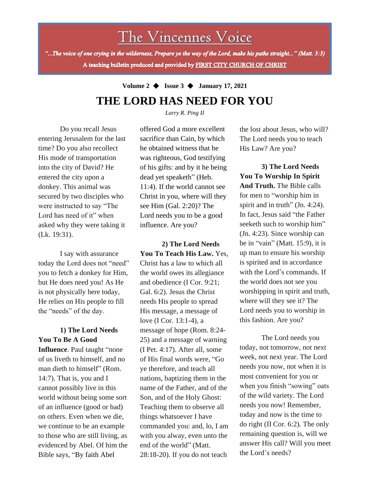# The Vincennes Voice

"...The voice of one crying in the wilderness, Prepare ye the way of the Lord, make his paths straight..." (Matt. 3:3) A teaching bulletin produced and provided by FIRST CITY CHURCH OF CHRIST

## **Volume 2** ◆ **Issue 3** ◆ **January 17, 2021 THE LORD HAS NEED FOR YOU**

*Larry R. Ping II*

Do you recall Jesus entering Jerusalem for the last time? Do you also recollect His mode of transportation into the city of David? He entered the city upon a donkey. This animal was secured by two disciples who were instructed to say "The Lord has need of it" when asked why they were taking it (Lk. 19:31).

I say with assurance today the Lord does not "need" you to fetch a donkey for Him, but He does need you! As He is not physically here today, He relies on His people to fill the "needs" of the day.

on others. Even when we die, **1) The Lord Needs You To Be A Good Influence**. Paul taught "none of us liveth to himself, and no man dieth to himself" (Rom. 14:7). That is, you and I cannot possibly live in this world without being some sort of an influence (good or bad) we continue to be an example to those who are still living, as evidenced by Abel. Of him the Bible says, "By faith Abel

offered God a more excellent sacrifice than Cain, by which he obtained witness that he was righteous, God testifying of his gifts: and by it he being dead yet speaketh" (Heb. 11:4). If the world cannot see Christ in you, where will they see Him (Gal. 2:20)? The Lord needs you to be a good influence. Are you?

**2) The Lord Needs You To Teach His Law.** Yes, Christ has a law to which all the world owes its allegiance and obedience (I Cor. 9:21; Gal. 6:2). Jesus the Christ needs His people to spread His message, a message of love (I Cor. 13:1-4), a message of hope (Rom. 8:24- 25) and a message of warning (I Pet. 4:17). After all, some of His final words were, "Go ye therefore, and teach all nations, baptizing them in the name of the Father, and of the Son, and of the Holy Ghost: Teaching them to observe all things whatsoever I have commanded you: and, lo, I am with you alway, even unto the end of the world" (Matt. 28:18-20). If you do not teach

the lost about Jesus, who will? The Lord needs you to teach His Law? Are you?

**3) The Lord Needs You To Worship In Spirit And Truth.** The Bible calls for men to "worship him in spirit and in truth" (Jn. 4:24). In fact, Jesus said "the Father seeketh such to worship him" (Jn. 4:23). Since worship can be in "vain" (Matt. 15:9), it is up man to ensure his worship is spirited and in accordance with the Lord's commands. If the world does not see you worshipping in spirit and truth, where will they see it? The Lord needs you to worship in this fashion. Are you?

The Lord needs you today, not tomorrow, not next week, not next year. The Lord needs you now, not when it is most convenient for you or when you finish "sowing" oats of the wild variety. The Lord needs you now! Remember, today and now is the time to do right (II Cor. 6:2). The only remaining question is, will we answer His call? Will you meet the Lord's needs?